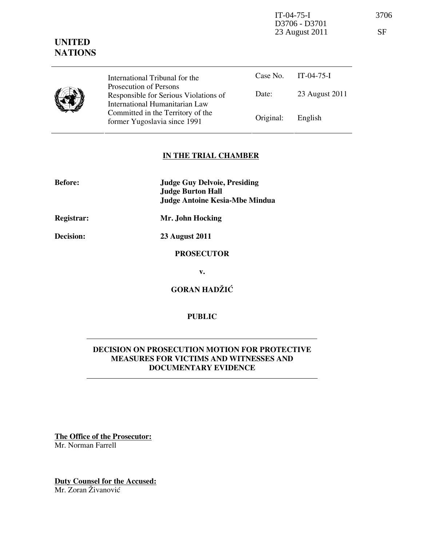IT-04-75-I 3706 D3706 - D3701 23 August 2011 SF



Case No. IT-04-75-I Date: 23 August 2011 International Tribunal for the Prosecution of Persons Responsible for Serious Violations of International Humanitarian Law Committed in the Territory of the Former Yugoslavia since 1991 Original: English

# IN THE TRIAL CHAMBER

| <b>Before:</b> | <b>Judge Guy Delvoie, Presiding</b><br><b>Judge Burton Hall</b><br><b>Judge Antoine Kesia-Mbe Mindua</b> |
|----------------|----------------------------------------------------------------------------------------------------------|
| Registrar:     | Mr. John Hocking                                                                                         |
| Decision:      | <b>23 August 2011</b>                                                                                    |
|                | <b>PROSECUTOR</b>                                                                                        |
|                | v.                                                                                                       |

GORAN HADŽIĆ

PUBLIC

# DECISION ON PROSECUTION MOTION FOR PROTECTIVE MEASURES FOR VICTIMS AND WITNESSES AND DOCUMENTARY EVIDENCE

The Office of the Prosecutor: Mr. Norman Farrell

Duty Counsel for the Accused: Mr. Zoran Živanović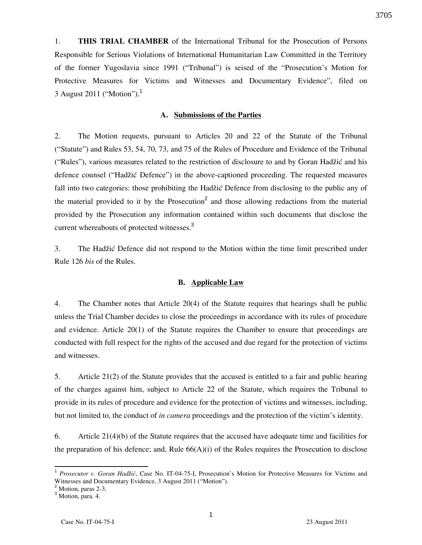1. THIS TRIAL CHAMBER of the International Tribunal for the Prosecution of Persons Responsible for Serious Violations of International Humanitarian Law Committed in the Territory of the former Yugoslavia since 1991 ("Tribunal") is seised of the "Prosecution's Motion for Protective Measures for Victims and Witnesses and Documentary Evidence", filed on 3 August 2011 ("Motion").<sup>1</sup>

# A. Submissions of the Parties

2. The Motion requests, pursuant to Articles 20 and 22 of the Statute of the Tribunal ("Statute") and Rules 53, 54, 70, 73, and 75 of the Rules of Procedure and Evidence of the Tribunal ("Rules"), various measures related to the restriction of disclosure to and by Goran Hadžić and his defence counsel ("Hadžić Defence") in the above-captioned proceeding. The requested measures fall into two categories: those prohibiting the Hadžić Defence from disclosing to the public any of the material provided to it by the Prosecution<sup>2</sup> and those allowing redactions from the material provided by the Prosecution any information contained within such documents that disclose the current whereabouts of protected witnesses.<sup>3</sup>

3. The Hadžić Defence did not respond to the Motion within the time limit prescribed under Rule 126 bis of the Rules.

### B. Applicable Law

4. The Chamber notes that Article 20(4) of the Statute requires that hearings shall be public unless the Trial Chamber decides to close the proceedings in accordance with its rules of procedure and evidence. Article 20(1) of the Statute requires the Chamber to ensure that proceedings are conducted with full respect for the rights of the accused and due regard for the protection of victims and witnesses.

5. Article 21(2) of the Statute provides that the accused is entitled to a fair and public hearing of the charges against him, subject to Article 22 of the Statute, which requires the Tribunal to provide in its rules of procedure and evidence for the protection of victims and witnesses, including, but not limited to, the conduct of in camera proceedings and the protection of the victim's identity.

6. Article 21(4)(b) of the Statute requires that the accused have adequate time and facilities for the preparation of his defence; and, Rule  $66(A)(i)$  of the Rules requires the Prosecution to disclose

 $\overline{a}$ 

<sup>&</sup>lt;sup>1</sup> Prosecutor v. Goran Hadžić, Case No. IT-04-75-I, Prosecution's Motion for Protective Measures for Victims and Witnesses and Documentary Evidence, 3 August 2011 ("Motion").

<sup>&</sup>lt;sup>2</sup> Motion, paras 2-3.

 $3$  Motion, para. 4.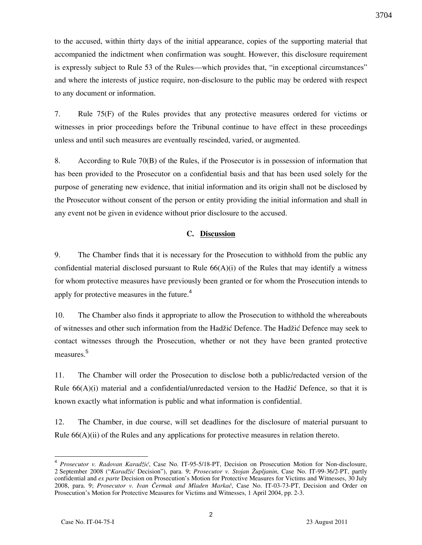to the accused, within thirty days of the initial appearance, copies of the supporting material that accompanied the indictment when confirmation was sought. However, this disclosure requirement is expressly subject to Rule 53 of the Rules—which provides that, "in exceptional circumstances" and where the interests of justice require, non-disclosure to the public may be ordered with respect to any document or information.

7. Rule 75(F) of the Rules provides that any protective measures ordered for victims or witnesses in prior proceedings before the Tribunal continue to have effect in these proceedings unless and until such measures are eventually rescinded, varied, or augmented.

8. According to Rule 70(B) of the Rules, if the Prosecutor is in possession of information that has been provided to the Prosecutor on a confidential basis and that has been used solely for the purpose of generating new evidence, that initial information and its origin shall not be disclosed by the Prosecutor without consent of the person or entity providing the initial information and shall in any event not be given in evidence without prior disclosure to the accused.

# C. Discussion

9. The Chamber finds that it is necessary for the Prosecution to withhold from the public any confidential material disclosed pursuant to Rule  $66(A)(i)$  of the Rules that may identify a witness for whom protective measures have previously been granted or for whom the Prosecution intends to apply for protective measures in the future.<sup>4</sup>

10. The Chamber also finds it appropriate to allow the Prosecution to withhold the whereabouts of witnesses and other such information from the Hadžić Defence. The Hadžić Defence may seek to contact witnesses through the Prosecution, whether or not they have been granted protective measures.<sup>5</sup>

11. The Chamber will order the Prosecution to disclose both a public/redacted version of the Rule  $66(A)(i)$  material and a confidential/unredacted version to the Hadžić Defence, so that it is known exactly what information is public and what information is confidential.

12. The Chamber, in due course, will set deadlines for the disclosure of material pursuant to Rule 66(A)(ii) of the Rules and any applications for protective measures in relation thereto.

 $\overline{a}$ 

<sup>4</sup> Prosecutor v. Radovan Karadžić, Case No. IT-95-5/18-PT, Decision on Prosecution Motion for Non-disclosure, 2 September 2008 ("Karadžić Decision"), para. 9; Prosecutor v. Stojan Župljanin, Case No. IT-99-36/2-PT, partly confidential and ex parte Decision on Prosecution's Motion for Protective Measures for Victims and Witnesses, 30 July 2008, para. 9; Prosecutor v. Ivan Čermak and Mladen Markač, Case No. IT-03-73-PT, Decision and Order on Prosecution's Motion for Protective Measures for Victims and Witnesses, 1 April 2004, pp. 2-3.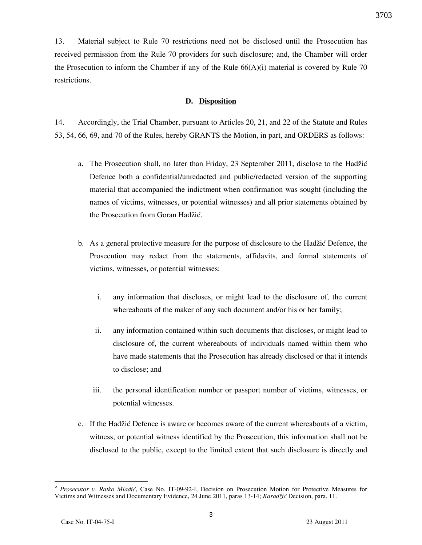13. Material subject to Rule 70 restrictions need not be disclosed until the Prosecution has received permission from the Rule 70 providers for such disclosure; and, the Chamber will order the Prosecution to inform the Chamber if any of the Rule  $66(A)(i)$  material is covered by Rule 70 restrictions.

# D. Disposition

14. Accordingly, the Trial Chamber, pursuant to Articles 20, 21, and 22 of the Statute and Rules 53, 54, 66, 69, and 70 of the Rules, hereby GRANTS the Motion, in part, and ORDERS as follows:

- a. The Prosecution shall, no later than Friday, 23 September 2011, disclose to the Hadžić Defence both a confidential/unredacted and public/redacted version of the supporting material that accompanied the indictment when confirmation was sought (including the names of victims, witnesses, or potential witnesses) and all prior statements obtained by the Prosecution from Goran Hadžić.
- b. As a general protective measure for the purpose of disclosure to the Hadžić Defence, the Prosecution may redact from the statements, affidavits, and formal statements of victims, witnesses, or potential witnesses:
	- i. any information that discloses, or might lead to the disclosure of, the current whereabouts of the maker of any such document and/or his or her family;
	- ii. any information contained within such documents that discloses, or might lead to disclosure of, the current whereabouts of individuals named within them who have made statements that the Prosecution has already disclosed or that it intends to disclose; and
	- iii. the personal identification number or passport number of victims, witnesses, or potential witnesses.
- c. If the Hadžić Defence is aware or becomes aware of the current whereabouts of a victim, witness, or potential witness identified by the Prosecution, this information shall not be disclosed to the public, except to the limited extent that such disclosure is directly and

3

 5 Prosecutor v. Ratko Mladić, Case No. IT-09-92-I, Decision on Prosecution Motion for Protective Measures for Victims and Witnesses and Documentary Evidence, 24 June 2011, paras 13-14; Karadžić Decision, para. 11.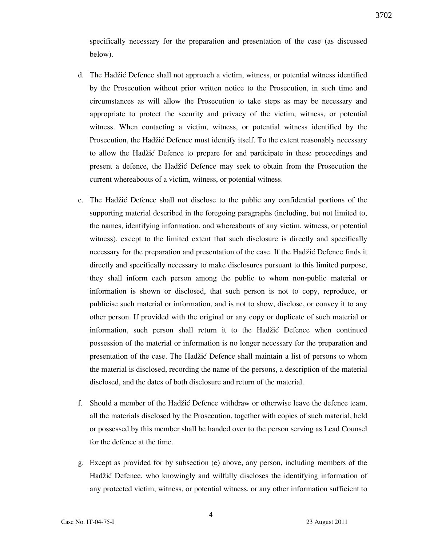specifically necessary for the preparation and presentation of the case (as discussed below).

- d. The Hadžić Defence shall not approach a victim, witness, or potential witness identified by the Prosecution without prior written notice to the Prosecution, in such time and circumstances as will allow the Prosecution to take steps as may be necessary and appropriate to protect the security and privacy of the victim, witness, or potential witness. When contacting a victim, witness, or potential witness identified by the Prosecution, the Hadžić Defence must identify itself. To the extent reasonably necessary to allow the Hadžić Defence to prepare for and participate in these proceedings and present a defence, the Hadžić Defence may seek to obtain from the Prosecution the current whereabouts of a victim, witness, or potential witness.
- e. The Hadžić Defence shall not disclose to the public any confidential portions of the supporting material described in the foregoing paragraphs (including, but not limited to, the names, identifying information, and whereabouts of any victim, witness, or potential witness), except to the limited extent that such disclosure is directly and specifically necessary for the preparation and presentation of the case. If the Hadžić Defence finds it directly and specifically necessary to make disclosures pursuant to this limited purpose, they shall inform each person among the public to whom non-public material or information is shown or disclosed, that such person is not to copy, reproduce, or publicise such material or information, and is not to show, disclose, or convey it to any other person. If provided with the original or any copy or duplicate of such material or information, such person shall return it to the Hadžić Defence when continued possession of the material or information is no longer necessary for the preparation and presentation of the case. The Hadžić Defence shall maintain a list of persons to whom the material is disclosed, recording the name of the persons, a description of the material disclosed, and the dates of both disclosure and return of the material.
- f. Should a member of the Hadžić Defence withdraw or otherwise leave the defence team, all the materials disclosed by the Prosecution, together with copies of such material, held or possessed by this member shall be handed over to the person serving as Lead Counsel for the defence at the time.
- g. Except as provided for by subsection (e) above, any person, including members of the Hadžić Defence, who knowingly and wilfully discloses the identifying information of any protected victim, witness, or potential witness, or any other information sufficient to

3702